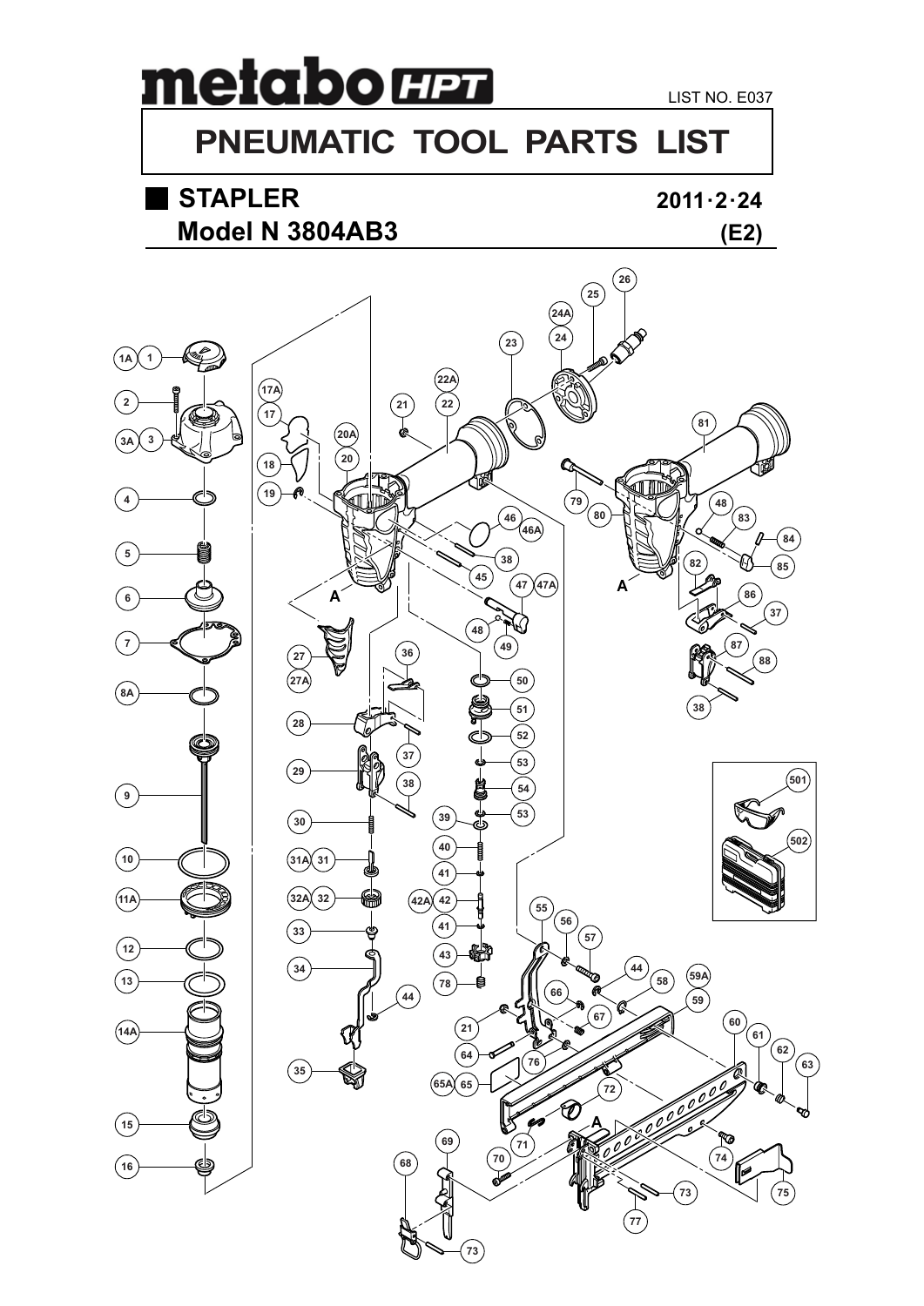# metabo **H2**

### **PNEUMATIC TOOL PARTS LIST**

## **STAPLER**

#### **2011 · 2 · 24**



**A**

U)

 

**65 65A**

NATA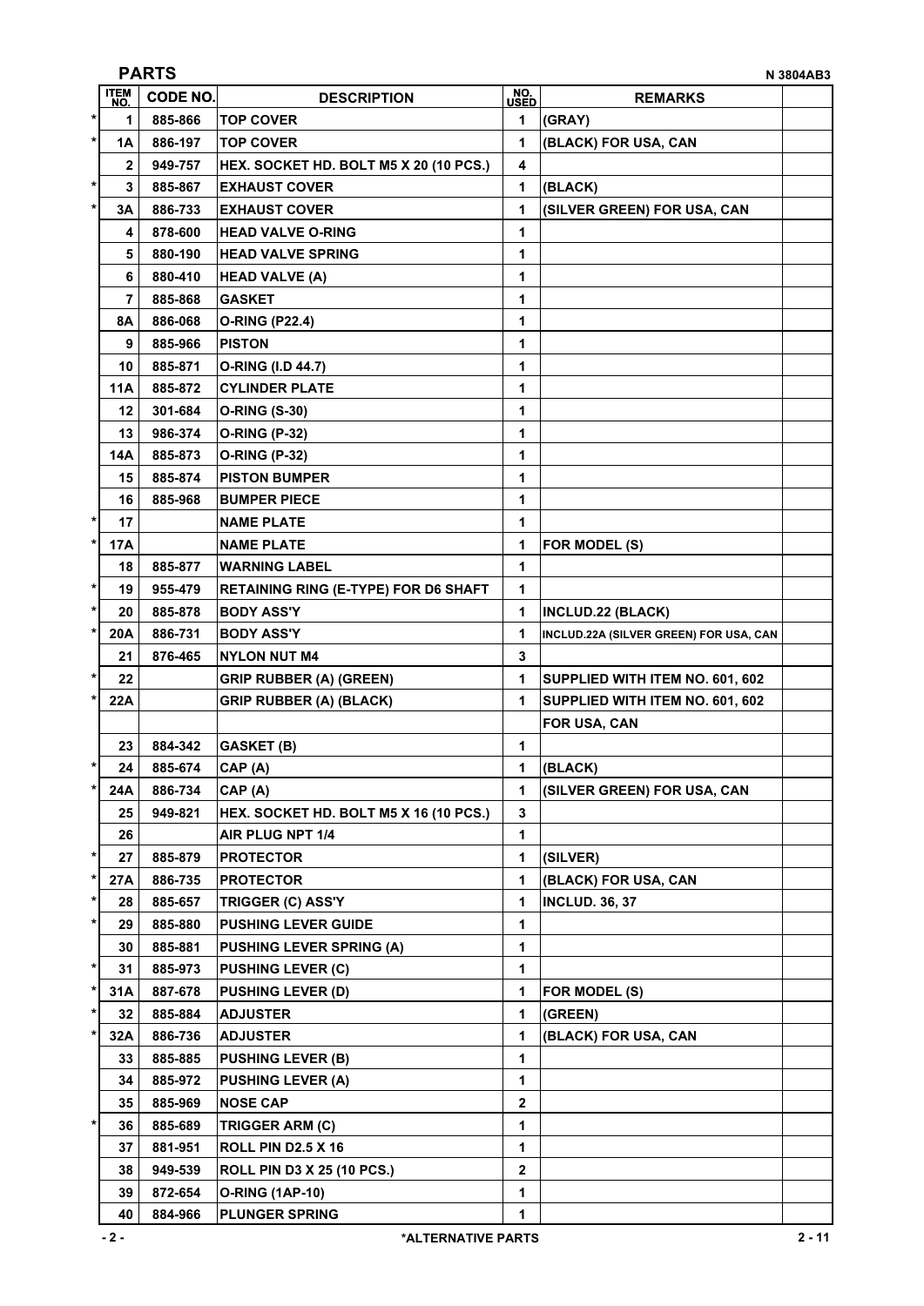|         | <b>PARTS</b><br>N 3804AB3 |                 |                                             |                |                                        |  |  |
|---------|---------------------------|-----------------|---------------------------------------------|----------------|----------------------------------------|--|--|
|         | <b>ITEM</b><br>NO.        | <b>CODE NO.</b> | <b>DESCRIPTION</b>                          | NO.<br>USED    | <b>REMARKS</b>                         |  |  |
| $\ast$  | 1                         | 885-866         | <b>TOP COVER</b>                            | 1              | (GRAY)                                 |  |  |
| $\star$ | 1A                        | 886-197         | <b>TOP COVER</b>                            | 1              | (BLACK) FOR USA, CAN                   |  |  |
|         | $\mathbf{2}$              | 949-757         | HEX. SOCKET HD. BOLT M5 X 20 (10 PCS.)      | 4              |                                        |  |  |
| $\ast$  | 3                         | 885-867         | <b>EXHAUST COVER</b>                        | 1              | (BLACK)                                |  |  |
| $\star$ | 3А                        | 886-733         | <b>EXHAUST COVER</b>                        | 1              | (SILVER GREEN) FOR USA, CAN            |  |  |
|         | 4                         | 878-600         | <b>HEAD VALVE O-RING</b>                    | 1              |                                        |  |  |
|         | 5                         | 880-190         | <b>HEAD VALVE SPRING</b>                    | 1              |                                        |  |  |
|         | 6                         | 880-410         | <b>HEAD VALVE (A)</b>                       | 1              |                                        |  |  |
|         | 7                         | 885-868         | <b>GASKET</b>                               | 1              |                                        |  |  |
|         | 8Α                        | 886-068         | <b>O-RING (P22.4)</b>                       | 1              |                                        |  |  |
|         | 9                         | 885-966         | <b>PISTON</b>                               | 1              |                                        |  |  |
|         | 10                        | 885-871         | O-RING (I.D 44.7)                           | 1              |                                        |  |  |
|         | <b>11A</b>                | 885-872         | <b>CYLINDER PLATE</b>                       | 1              |                                        |  |  |
|         | 12                        | 301-684         | <b>O-RING (S-30)</b>                        | 1              |                                        |  |  |
|         | 13                        | 986-374         | <b>O-RING (P-32)</b>                        | 1              |                                        |  |  |
|         | 14A                       | 885-873         | <b>O-RING (P-32)</b>                        | 1              |                                        |  |  |
|         | 15                        | 885-874         | <b>PISTON BUMPER</b>                        | 1              |                                        |  |  |
|         | 16                        | 885-968         | <b>BUMPER PIECE</b>                         | 1              |                                        |  |  |
| $\ast$  | 17                        |                 | <b>NAME PLATE</b>                           | 1              |                                        |  |  |
| $\ast$  | 17A                       |                 | <b>NAME PLATE</b>                           | 1              | FOR MODEL (S)                          |  |  |
|         | 18                        | 885-877         | <b>WARNING LABEL</b>                        | 1              |                                        |  |  |
| $\ast$  | 19                        | 955-479         | <b>RETAINING RING (E-TYPE) FOR D6 SHAFT</b> | 1              |                                        |  |  |
| $\ast$  | 20                        | 885-878         | <b>BODY ASS'Y</b>                           | 1              | INCLUD.22 (BLACK)                      |  |  |
| $\ast$  | 20A                       | 886-731         | <b>BODY ASS'Y</b>                           | 1              | INCLUD.22A (SILVER GREEN) FOR USA, CAN |  |  |
|         | 21                        | 876-465         | <b>NYLON NUT M4</b>                         | 3              |                                        |  |  |
| $\ast$  | 22                        |                 | <b>GRIP RUBBER (A) (GREEN)</b>              | 1              | SUPPLIED WITH ITEM NO. 601, 602        |  |  |
| *       | 22A                       |                 | <b>GRIP RUBBER (A) (BLACK)</b>              | 1              | SUPPLIED WITH ITEM NO. 601, 602        |  |  |
|         |                           |                 |                                             |                | FOR USA, CAN                           |  |  |
|         | 23                        | 884-342         | <b>GASKET (B)</b>                           | 1              |                                        |  |  |
| $\ast$  | 24                        | 885-674         | CAP(A)                                      | 1              | (BLACK)                                |  |  |
| $\ast$  | 24A                       | 886-734         | CAP (A)                                     | 1              | (SILVER GREEN) FOR USA, CAN            |  |  |
|         | 25                        | 949-821         | HEX. SOCKET HD. BOLT M5 X 16 (10 PCS.)      | 3              |                                        |  |  |
|         | 26                        |                 | AIR PLUG NPT 1/4                            | 1              |                                        |  |  |
| $\star$ | 27                        | 885-879         | <b>PROTECTOR</b>                            | 1              | (SILVER)                               |  |  |
| *       | 27A                       | 886-735         | <b>PROTECTOR</b>                            | 1              | (BLACK) FOR USA, CAN                   |  |  |
| $\ast$  | 28                        | 885-657         | TRIGGER (C) ASS'Y                           | 1              | <b>INCLUD. 36, 37</b>                  |  |  |
| $\ast$  | 29                        | 885-880         | <b>PUSHING LEVER GUIDE</b>                  | 1              |                                        |  |  |
|         | 30                        | 885-881         | <b>PUSHING LEVER SPRING (A)</b>             | 1              |                                        |  |  |
| $\ast$  | 31                        | 885-973         | <b>PUSHING LEVER (C)</b>                    | 1              |                                        |  |  |
| *       | 31A                       | 887-678         | <b>PUSHING LEVER (D)</b>                    | 1              | FOR MODEL (S)                          |  |  |
| $\star$ | 32                        | 885-884         | <b>ADJUSTER</b>                             | 1              | (GREEN)                                |  |  |
| $\ast$  | 32A                       | 886-736         | <b>ADJUSTER</b>                             | 1              | (BLACK) FOR USA, CAN                   |  |  |
|         | 33                        | 885-885         | <b>PUSHING LEVER (B)</b>                    | $\mathbf{1}$   |                                        |  |  |
|         | 34                        | 885-972         | <b>PUSHING LEVER (A)</b>                    | 1              |                                        |  |  |
|         | 35                        | 885-969         | <b>NOSE CAP</b>                             | $\mathbf{2}$   |                                        |  |  |
| $\ast$  | 36                        | 885-689         | TRIGGER ARM (C)                             | 1              |                                        |  |  |
|         | 37                        | 881-951         | <b>ROLL PIN D2.5 X 16</b>                   | 1              |                                        |  |  |
|         | 38                        | 949-539         | <b>ROLL PIN D3 X 25 (10 PCS.)</b>           | $\overline{2}$ |                                        |  |  |
|         | 39                        | 872-654         | <b>O-RING (1AP-10)</b>                      | 1              |                                        |  |  |
|         | 40                        | 884-966         | <b>PLUNGER SPRING</b>                       | 1              |                                        |  |  |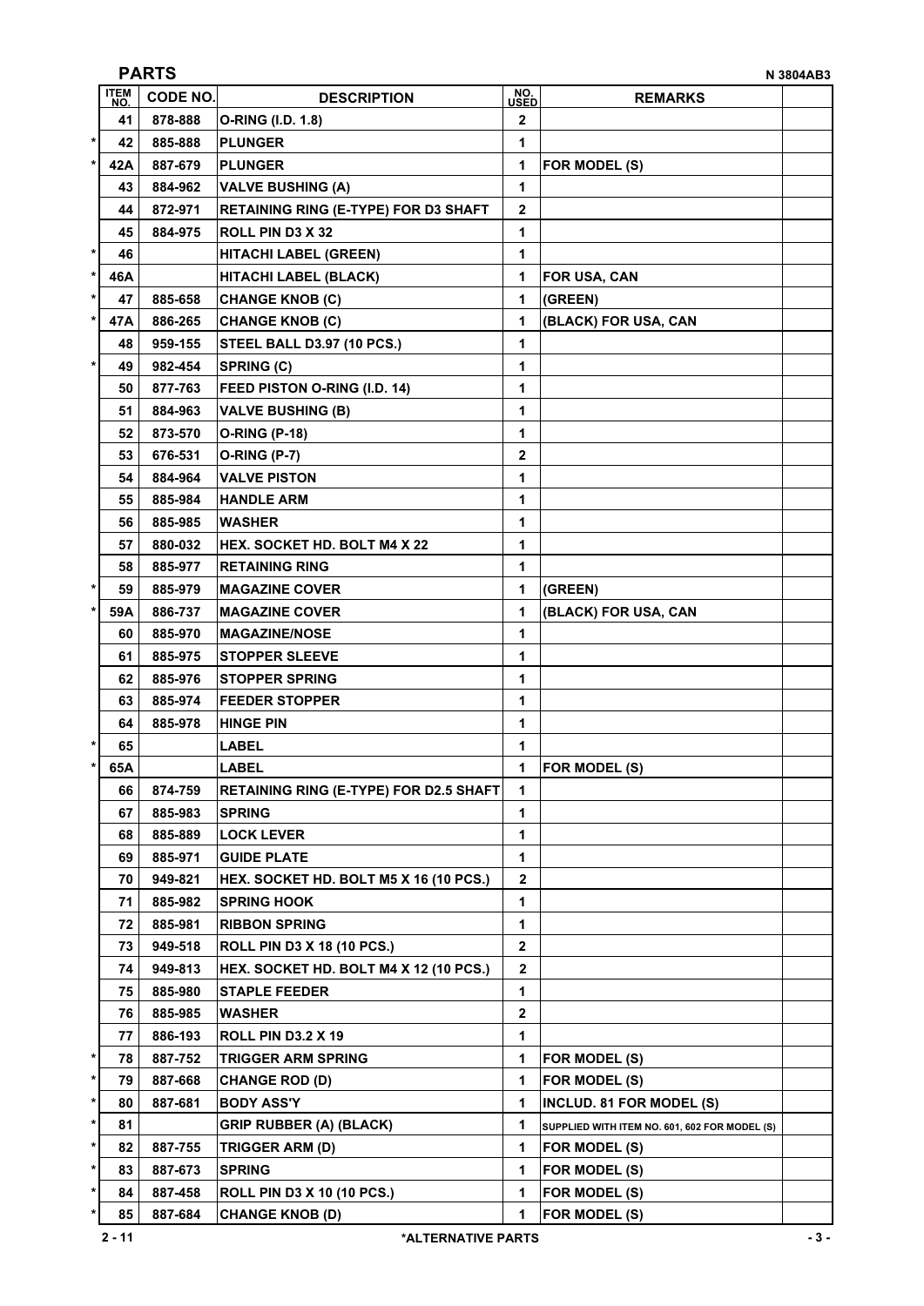|              | <b>ITEM</b><br>NO. | <b>CODE NO.</b> | <b>DESCRIPTION</b>                            | NO.<br>USED  | <b>REMARKS</b>                                |  |
|--------------|--------------------|-----------------|-----------------------------------------------|--------------|-----------------------------------------------|--|
|              | 41                 | 878-888         | O-RING (I.D. 1.8)                             | 2            |                                               |  |
| $\star$      | 42                 | 885-888         | <b>PLUNGER</b>                                | 1            |                                               |  |
| $\star$      | 42A                | 887-679         | <b>PLUNGER</b>                                | 1            | FOR MODEL (S)                                 |  |
|              | 43                 | 884-962         | <b>VALVE BUSHING (A)</b>                      | 1            |                                               |  |
|              | 44                 | 872-971         | <b>RETAINING RING (E-TYPE) FOR D3 SHAFT</b>   | 2            |                                               |  |
|              | 45                 | 884-975         | ROLL PIN D3 X 32                              | 1            |                                               |  |
| $\star$      | 46                 |                 | <b>HITACHI LABEL (GREEN)</b>                  | 1            |                                               |  |
| $\star$      | 46A                |                 | <b>HITACHI LABEL (BLACK)</b>                  | 1            | <b>FOR USA, CAN</b>                           |  |
| $\ast$       | 47                 | 885-658         | <b>CHANGE KNOB (C)</b>                        | 1            | (GREEN)                                       |  |
| $\ast$       | 47A                | 886-265         | <b>CHANGE KNOB (C)</b>                        | 1            | (BLACK) FOR USA, CAN                          |  |
|              | 48                 | 959-155         | <b>STEEL BALL D3.97 (10 PCS.)</b>             | 1            |                                               |  |
| $\pmb{*}$    | 49                 | 982-454         | <b>SPRING (C)</b>                             | 1            |                                               |  |
|              | 50                 | 877-763         | FEED PISTON O-RING (I.D. 14)                  | 1            |                                               |  |
|              | 51                 | 884-963         | <b>VALVE BUSHING (B)</b>                      | 1            |                                               |  |
|              | 52                 | 873-570         | <b>O-RING (P-18)</b>                          | 1            |                                               |  |
|              | 53                 | 676-531         | <b>O-RING (P-7)</b>                           | $\mathbf 2$  |                                               |  |
|              | 54                 | 884-964         | <b>VALVE PISTON</b>                           | 1            |                                               |  |
|              | 55                 | 885-984         | <b>HANDLE ARM</b>                             | 1            |                                               |  |
|              | 56                 | 885-985         | <b>WASHER</b>                                 | 1            |                                               |  |
|              | 57                 | 880-032         | HEX. SOCKET HD. BOLT M4 X 22                  | 1            |                                               |  |
|              | 58                 | 885-977         | <b>RETAINING RING</b>                         | 1            |                                               |  |
| $\star$      | 59                 | 885-979         | <b>MAGAZINE COVER</b>                         | 1            | (GREEN)                                       |  |
| $^\star$     | 59A                | 886-737         | <b>MAGAZINE COVER</b>                         | 1            | (BLACK) FOR USA, CAN                          |  |
|              | 60                 | 885-970         | <b>MAGAZINE/NOSE</b>                          | 1            |                                               |  |
|              | 61                 | 885-975         | <b>STOPPER SLEEVE</b>                         | 1            |                                               |  |
|              | 62                 | 885-976         | <b>STOPPER SPRING</b>                         | 1            |                                               |  |
|              | 63                 | 885-974         | <b>FEEDER STOPPER</b>                         | 1            |                                               |  |
|              | 64                 | 885-978         | <b>HINGE PIN</b>                              | 1            |                                               |  |
| *            | 65                 |                 | LABEL                                         | 1            |                                               |  |
| *            | 65A                |                 | LABEL                                         | 1            | FOR MODEL (S)                                 |  |
|              | 66                 | 874-759         | <b>RETAINING RING (E-TYPE) FOR D2.5 SHAFT</b> | 1            |                                               |  |
|              | 67                 | 885-983         | <b>SPRING</b>                                 | 1            |                                               |  |
|              | 68                 | 885-889         | <b>LOCK LEVER</b>                             | 1            |                                               |  |
|              | 69                 | 885-971         | <b>GUIDE PLATE</b>                            | 1            |                                               |  |
|              | 70                 | 949-821         | HEX. SOCKET HD. BOLT M5 X 16 (10 PCS.)        | $\mathbf{2}$ |                                               |  |
|              | 71                 | 885-982         | <b>SPRING HOOK</b>                            | 1            |                                               |  |
|              | 72                 | 885-981         | <b>RIBBON SPRING</b>                          | 1            |                                               |  |
|              | 73                 | 949-518         | <b>ROLL PIN D3 X 18 (10 PCS.)</b>             | $\mathbf 2$  |                                               |  |
|              | 74                 | 949-813         | HEX. SOCKET HD. BOLT M4 X 12 (10 PCS.)        | $\mathbf{2}$ |                                               |  |
|              | 75                 | 885-980         | <b>STAPLE FEEDER</b>                          | 1            |                                               |  |
|              | 76                 | 885-985         | <b>WASHER</b>                                 | $\mathbf 2$  |                                               |  |
|              | 77                 | 886-193         | <b>ROLL PIN D3.2 X 19</b>                     | 1            |                                               |  |
| $\star$      | 78                 | 887-752         | <b>TRIGGER ARM SPRING</b>                     | 1            | FOR MODEL (S)                                 |  |
| $\ast$       | 79                 | 887-668         | <b>CHANGE ROD (D)</b>                         | 1            | FOR MODEL (S)                                 |  |
| $\ast$       | 80                 | 887-681         | <b>BODY ASS'Y</b>                             | 1            | INCLUD. 81 FOR MODEL (S)                      |  |
| $\star$      | 81                 |                 | <b>GRIP RUBBER (A) (BLACK)</b>                | 1            | SUPPLIED WITH ITEM NO. 601, 602 FOR MODEL (S) |  |
| *            | 82                 | 887-755         | <b>TRIGGER ARM (D)</b>                        | 1            | FOR MODEL (S)                                 |  |
| $\pmb{\ast}$ | 83                 | 887-673         | <b>SPRING</b>                                 | 1            | FOR MODEL (S)                                 |  |
| *            | 84                 | 887-458         | <b>ROLL PIN D3 X 10 (10 PCS.)</b>             | 1            | FOR MODEL (S)                                 |  |
| *            | 85                 | 887-684         | <b>CHANGE KNOB (D)</b>                        | 1            | FOR MODEL (S)                                 |  |
|              |                    |                 |                                               |              |                                               |  |

**PARTS N 3804AB3**